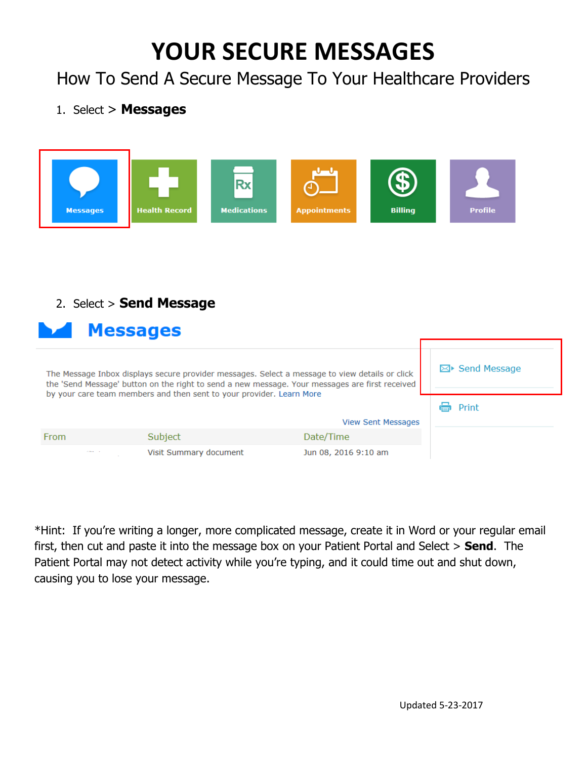## **YOUR SECURE MESSAGES**

How To Send A Secure Message To Your Healthcare Providers

## 1. Select > **Messages**



## 2. Select > **Send Message**

| <b>Messages</b>                                                                                                                                                                                  |                                                                      |                           |                          |  |  |  |
|--------------------------------------------------------------------------------------------------------------------------------------------------------------------------------------------------|----------------------------------------------------------------------|---------------------------|--------------------------|--|--|--|
| The Message Inbox displays secure provider messages. Select a message to view details or click<br>the 'Send Message' button on the right to send a new message. Your messages are first received |                                                                      |                           | $\boxtimes$ Send Message |  |  |  |
|                                                                                                                                                                                                  | by your care team members and then sent to your provider. Learn More |                           | Print                    |  |  |  |
|                                                                                                                                                                                                  |                                                                      | <b>View Sent Messages</b> |                          |  |  |  |
| From                                                                                                                                                                                             | Subject                                                              | Date/Time                 |                          |  |  |  |
| $\cdots$                                                                                                                                                                                         | Visit Summary document                                               | Jun 08, 2016 9:10 am      |                          |  |  |  |

\*Hint: If you're writing a longer, more complicated message, create it in Word or your regular email first, then cut and paste it into the message box on your Patient Portal and Select > **Send**. The Patient Portal may not detect activity while you're typing, and it could time out and shut down, causing you to lose your message.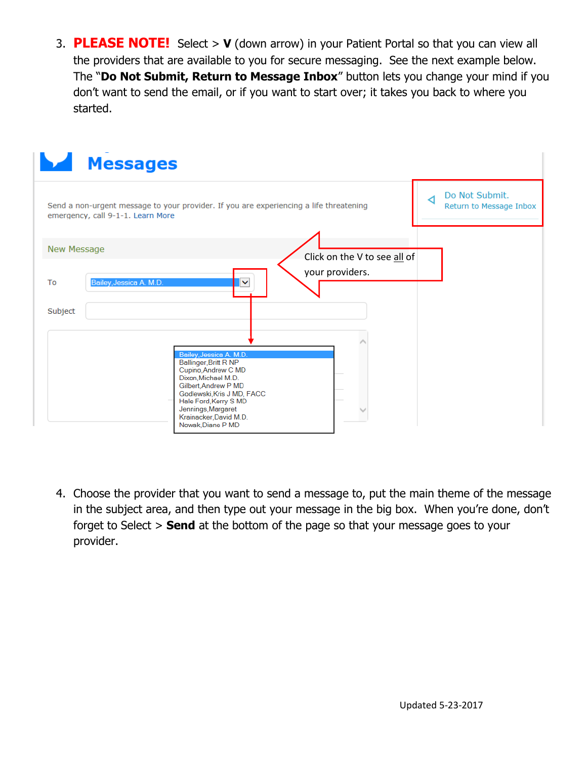3. **PLEASE NOTE!** Select > **V** (down arrow) in your Patient Portal so that you can view all the providers that are available to you for secure messaging. See the next example below. The "**Do Not Submit, Return to Message Inbox**" button lets you change your mind if you don't want to send the email, or if you want to start over; it takes you back to where you started.



4. Choose the provider that you want to send a message to, put the main theme of the message in the subject area, and then type out your message in the big box. When you're done, don't forget to Select > **Send** at the bottom of the page so that your message goes to your provider.